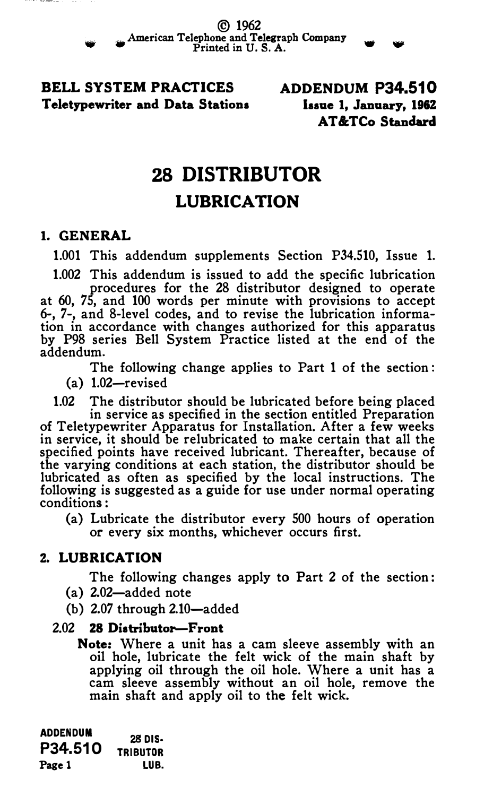BELL SYSTEM PRACTICES Teletypewriter and Data Stations ADDENDUM P34.510 Issue 1, January, 1962 AT &:TCo Standard

# 28 DISTRIBUTOR

### LUBRICATION

#### 1. GENERAL

•

1.001 This addendum supplements Section P34.510, Issue 1.

1.002 This addendum is issued to add the specific lubrication

procedures for the 28 distributor designed to operate at 60, 75, and 100 words per minute with provisions to accept 6-, 7-, and 8-level codes, and to revise the lubrication information in accordance with changes authorized for this apparatus by P98 series Bell System Practice listed at the end of the addendum.

The following change applies to Part 1 of the section :

 $(a)$  1.02-revised

1.02 The distributor should be lubricated before being placed in service as specified in the section entitled Preparation of Teletypewriter Apparatus for Installation. After a few weeks in service, it should be relubricated to make certain that all the specified points have received lubricant. Thereafter, because of the varying conditions at each station, the distributor should be lubricated as often as specified by the local instructions. The following is suggested as a guide for use under normal operating conditions :

(a) Lubricate the distributor every 500 hours of operation or every six months, whichever occurs first.

#### Z. LUBRICATION

The following changes apply to Part 2 of the section :

- (a) 2.02-added note
- $(b)$  2.07 through 2.10-added

#### 2.02 28 Distributor-Front

Note: Where a unit has a cam sleeve assembly with an oil hole, lubricate the felt wick of the main shaft by applying oil through the oil hole. Where a unit has a cam sleeve assembly without an oil hole, remove the main shaft and apply oil to the felt wick.

ADDENDUM ADDENDUM 28 DIS-TRIBUTOR Page 1 LUB.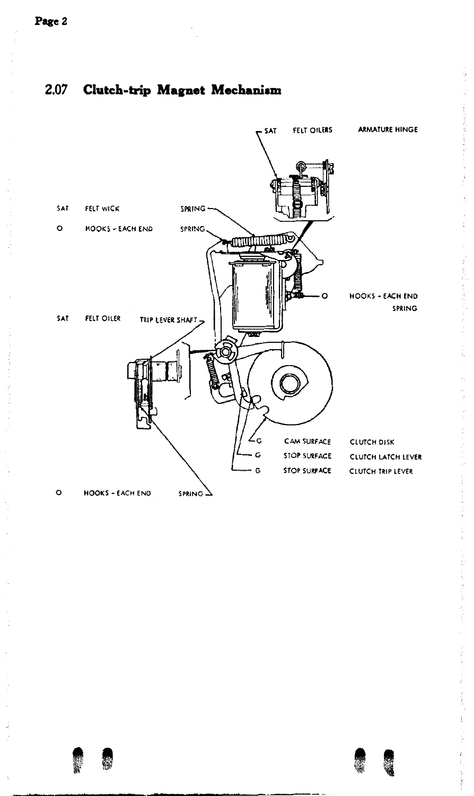#### 2.07 Clutch-trip Magnet Mechaniam



**•**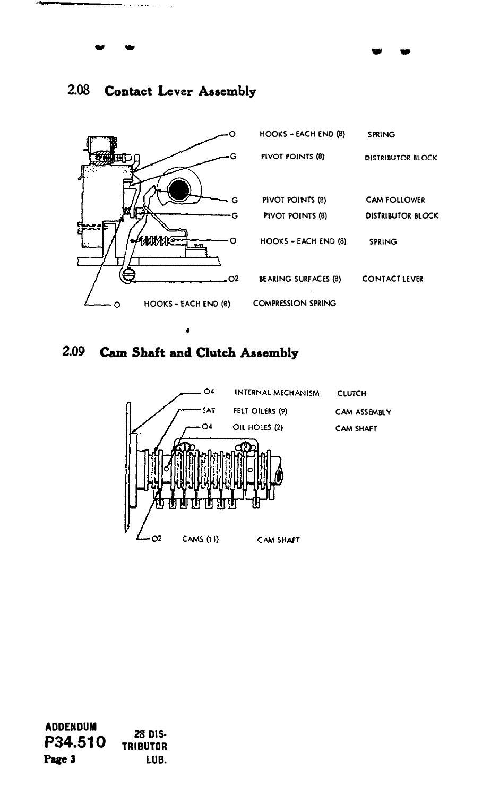

.. ...

#### 2.08 Contact Lever Assembly

.. ...





ADDENDUM P34.510 Page 3 28 DIS· TRIBUTOR LUB.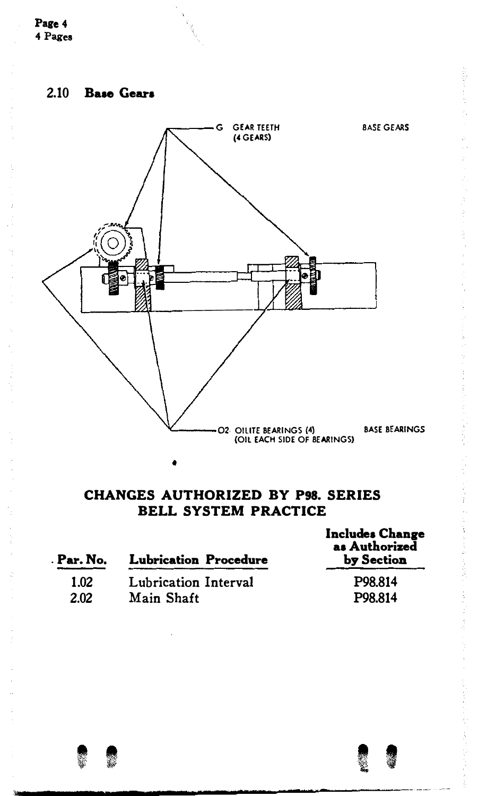



#### CHANGES AUTHORIZED BY P98. SERIES BELL SYSTEM PRACTICE

| . Par. No. | <b>Lubrication Procedure</b> | <b>Includes Change</b><br>as Authorized<br>by Section |
|------------|------------------------------|-------------------------------------------------------|
| 1.02       | Lubrication Interval         | P98.814                                               |
| 2.02       | Main Shaft                   | P98.814                                               |
|            |                              |                                                       |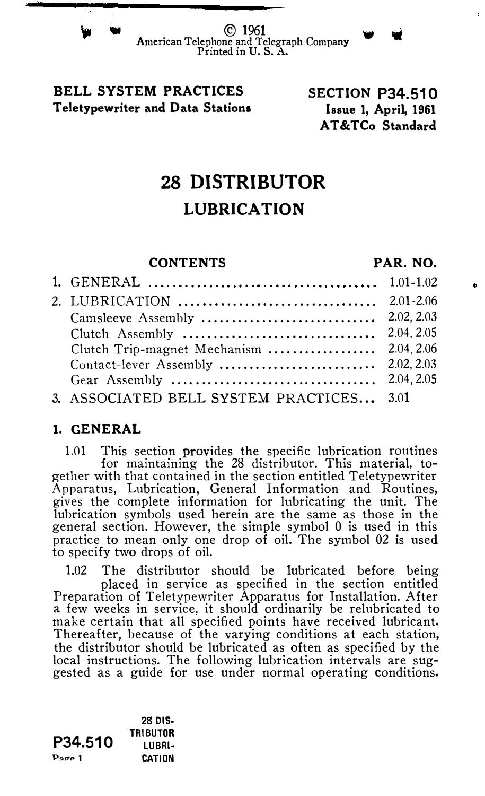#### BELL SYSTEM PRACTICES Teletypewriter and Data Stations

#### SECTION P34.510 Issue 1, April, 1961 AT &TCo Standard

## 28 DISTRIBUTOR LUBRICATION

#### CONTENTS PAR. NO.

| Clutch Trip-magnet Mechanism  2.04, 2.06 |  |
|------------------------------------------|--|
|                                          |  |
|                                          |  |
| 3. ASSOCIATED BELL SYSTEM PRACTICES 3.01 |  |

#### 1. GENERAL

1.01 This section provides the specific lubrication routines for maintaining the 28 distributor. This material, together with that contained in the section entitled Teletypewriter Apparatus, Lubrication, General Information and Routines, gives the complete information for lubricating the unit. The lubrication symbols used herein are the same as those in the general section. However, the simple symbol 0 is used in this practice to mean only one drop of oil. The symbol 02 is used to specify two drops of oil.

1.02 The distributor should be lubricated before being placed in service as specified in the section entitled Preparation of Teletypewriter Apparatus for Installation. After a few weeks in service, it should ordinarily be relubricated to make certain that all specified points have received lubricant. Thereafter, because of the varying conditions at each station, the distributor should be lubricated as often as specified by the local instructions. The following lubrication intervals are suggested as a guide for use under normal operating conditions.

P34.510  $P<sub>200</sub>$  1 28 DIS-TRIBUTOR LUBRI· CATION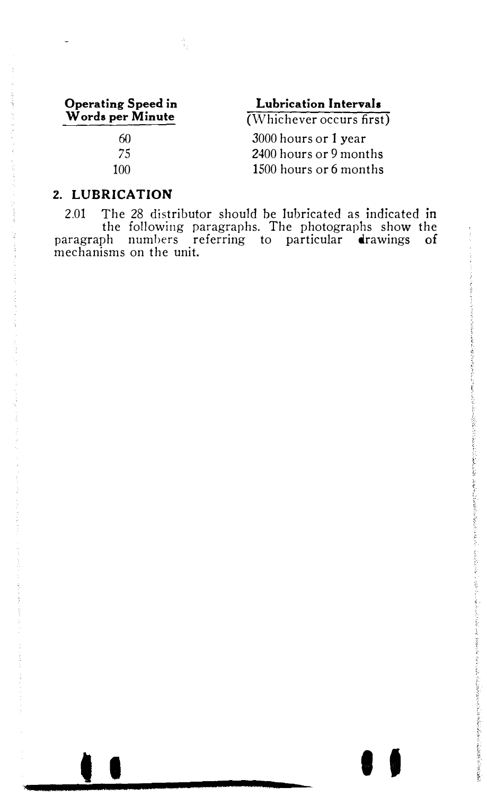#### Operating Speed in Words per Minute 60

75 100 Lubrication Intervals

(Whichever occurs first)

3000 hours or 1 year 2400 hours or 9 months 1500 hours or 6 months

#### 2. LUBRICATION

2.01 The 28 distributor should be lubricated as indicated in the following paragraphs. The photographs show the paragraph numbers referring to particular drawings of mechanisms on the unit.

t I I I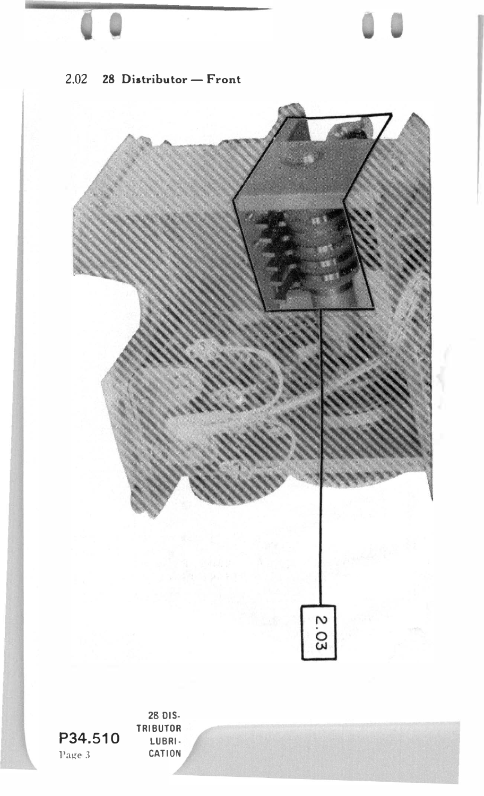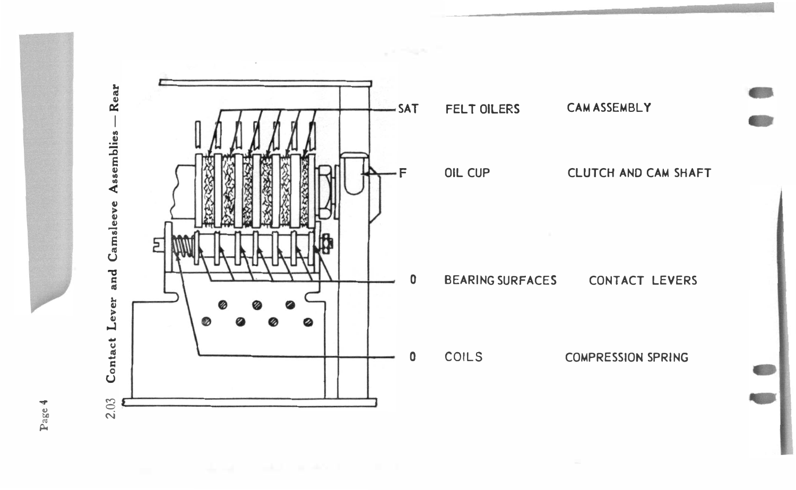

Page 4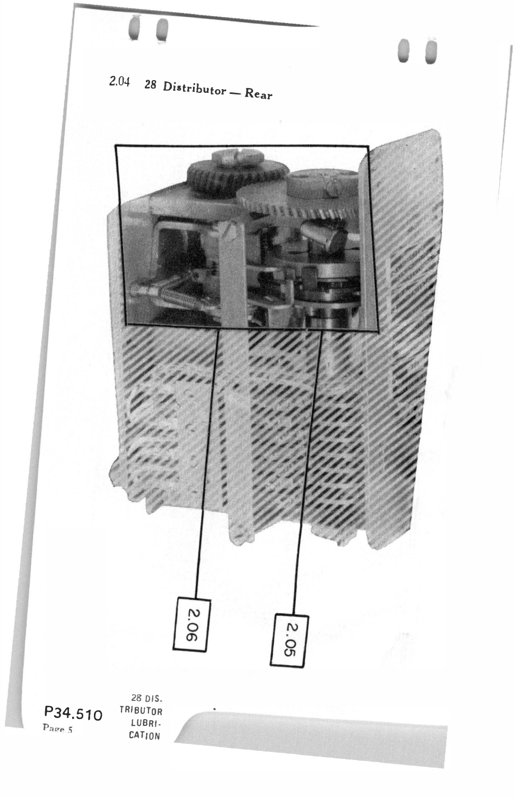

28 DIS. TRIBUTOR LUBRI· CATION

P34.510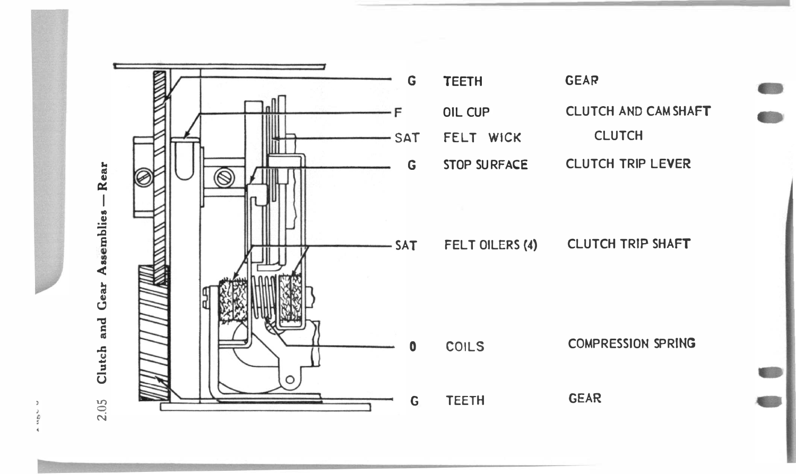

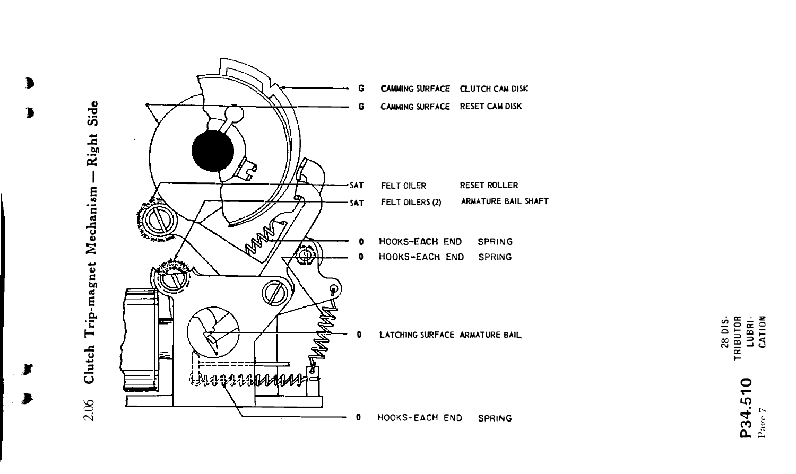

 $\blacksquare$ 

×

TRIBUTOR<br>LUBRI-<br>CATION 28 DIS-

P34.510 Page 7